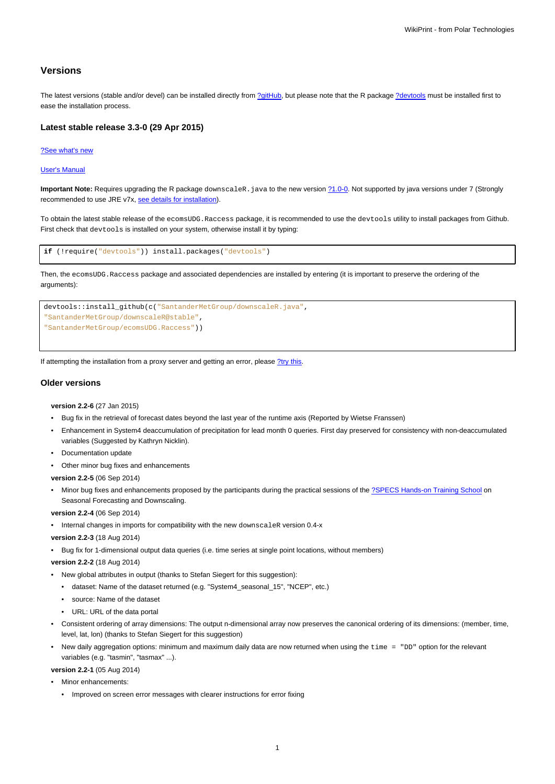# **Versions**

The latest versions (stable and/or devel) can be installed directly from [?gitHub,](https://github.com/SantanderMetGroup/ecomsUDG.Raccess) but please note that the R package [?devtools](http://cran.r-project.org/web/packages/devtools/index.html) must be installed first to ease the installation process.

## **Latest stable release 3.3-0 (29 Apr 2015)**

#### [?See what's new](https://github.com/SantanderMetGroup/ecomsUDG.Raccess/releases/tag/v3.3-0)

#### [User's Manual](https://meteo.unican.es/trac/raw-attachment/wiki/EcomsUdg/DataPortal_Tutorial_v2.pdf)

Important Note: Requires upgrading the R package downscaleR. java to the new version  $\frac{?1.0-0.}{?}$  $\frac{?1.0-0.}{?}$  $\frac{?1.0-0.}{?}$  Not supported by java versions under 7 (Strongly recommended to use JRE v7x, [see details for installation](https://meteo.unican.es/trac/wiki/udg/ecoms/RPackage/prerequisites)).

To obtain the latest stable release of the ecomsUDG.Raccess package, it is recommended to use the devtools utility to install packages from Github. First check that devtools is installed on your system, otherwise install it by typing:

```
if (!require("devtools")) install.packages("devtools")
```
Then, the ecomsUDG.Raccess package and associated dependencies are installed by entering (it is important to preserve the ordering of the arguments):



If attempting the installation from a proxy server and getting an error, please [?try this.](http://meteo.unican.es/trac/wiki/udg/ecoms/RPackage/setup_proxy)

# **Older versions**

**version 2.2-6** (27 Jan 2015)

- Bug fix in the retrieval of forecast dates beyond the last year of the runtime axis (Reported by Wietse Franssen)
- Enhancement in System4 deaccumulation of precipitation for lead month 0 queries. First day preserved for consistency with non-deaccumulated variables (Suggested by Kathryn Nicklin).
- Documentation update
- Other minor bug fixes and enhancements

**version 2.2-5** (06 Sep 2014)

Minor bug fixes and enhancements proposed by the participants during the practical sessions of the [?SPECS Hands-on Training School](http://www.meteo.unican.es/projects/specs/workshop2014) on Seasonal Forecasting and Downscaling.

**version 2.2-4** (06 Sep 2014)

• Internal changes in imports for compatibility with the new downscaleR version 0.4-x

**version 2.2-3** (18 Aug 2014)

• Bug fix for 1-dimensional output data queries (i.e. time series at single point locations, without members)

**version 2.2-2** (18 Aug 2014)

- New global attributes in output (thanks to Stefan Siegert for this suggestion):
	- dataset: Name of the dataset returned (e.g. "System4\_seasonal\_15", "NCEP", etc.)
	- source: Name of the dataset
	- URL: URL of the data portal
- Consistent ordering of array dimensions: The output n-dimensional array now preserves the canonical ordering of its dimensions: (member, time, level, lat, lon) (thanks to Stefan Siegert for this suggestion)
- New daily aggregation options: minimum and maximum daily data are now returned when using the time = "DD" option for the relevant variables (e.g. "tasmin", "tasmax" ...).

**version 2.2-1** (05 Aug 2014)

- Minor enhancements:
	- Improved on screen error messages with clearer instructions for error fixing